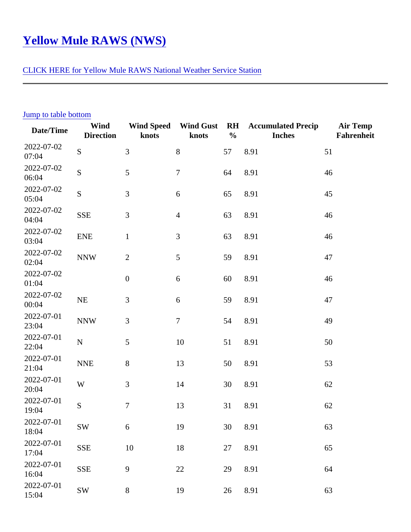## Yellow Mule RAWS (NWS)

## [CLICK HERE for Yellow Mule RAWS National Weather Service Sta](http://www.wrh.noaa.gov/mesowest/getobext.php?wfo=mso&sid=YLWM8&num=48&raw=0&dbn=m)tion

| Jump to table bottom |                          |                  |                               |                |                                     |                        |
|----------------------|--------------------------|------------------|-------------------------------|----------------|-------------------------------------|------------------------|
| Date/Time            | Wind<br><b>Direction</b> | knots            | Wind Speed Wind Gust<br>knots | <b>RH</b><br>% | <b>Accumulated Precip</b><br>Inches | Air Temp<br>Fahrenheit |
| 2022-07-02<br>07:04  | S                        | 3                | 8                             | 57             | 8.91                                | 51                     |
| 2022-07-02<br>06:04  | S                        | 5                | $\overline{7}$                | 64             | 8.91                                | 46                     |
| 2022-07-02<br>05:04  | S                        | 3                | 6                             | 65             | 8.91                                | 45                     |
| 2022-07-02<br>04:04  | <b>SSE</b>               | 3                | $\overline{4}$                | 63             | 8.91                                | 46                     |
| 2022-07-02<br>03:04  | <b>ENE</b>               | $\mathbf 1$      | 3                             | 63             | 8.91                                | 46                     |
| 2022-07-02<br>02:04  | <b>NNW</b>               | $\overline{2}$   | 5                             | 59             | 8.91                                | 47                     |
| 2022-07-02<br>01:04  |                          | $\mathbf 0$      | 6                             | 60             | 8.91                                | 46                     |
| 2022-07-02<br>00:04  | <b>NE</b>                | 3                | $\,6$                         | 59             | 8.91                                | 47                     |
| 2022-07-01<br>23:04  | <b>NNW</b>               | 3                | $\overline{7}$                | 54             | 8.91                                | 49                     |
| 2022-07-01<br>22:04  | $\mathsf{N}$             | 5                | 10                            | 51             | 8.91                                | 50                     |
| 2022-07-01<br>21:04  | <b>NNE</b>               | 8                | 13                            | 50             | 8.91                                | 53                     |
| 2022-07-01<br>20:04  | W                        | 3                | 14                            | 30             | 8.91                                | 62                     |
| 2022-07-01<br>19:04  | S                        | 7                | 13                            | 31             | 8.91                                | 62                     |
| 2022-07-01<br>18:04  | SW                       | 6                | 19                            | 30             | 8.91                                | 63                     |
| 2022-07-01<br>17:04  | <b>SSE</b>               | 10               | 18                            | 27             | 8.91                                | 65                     |
| 2022-07-01<br>16:04  | <b>SSE</b>               | $\boldsymbol{9}$ | 22                            | 29             | 8.91                                | 64                     |
| 2022-07-01<br>15:04  | <b>SW</b>                | 8                | 19                            | 26             | 8.91                                | 63                     |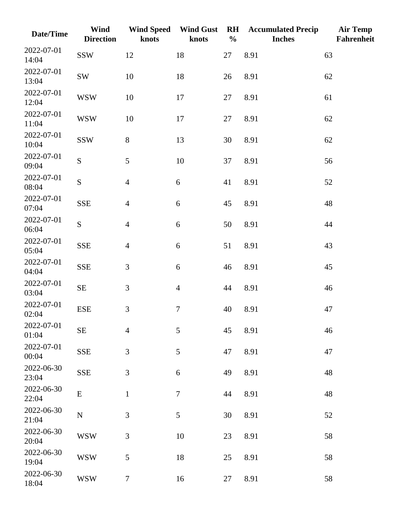| Date/Time           | <b>Wind</b><br><b>Direction</b> | <b>Wind Speed</b><br>knots | <b>Wind Gust</b><br>knots | $R$ H<br>$\frac{0}{0}$ | <b>Accumulated Precip</b><br><b>Inches</b> | <b>Air Temp</b><br>Fahrenheit |
|---------------------|---------------------------------|----------------------------|---------------------------|------------------------|--------------------------------------------|-------------------------------|
| 2022-07-01<br>14:04 | <b>SSW</b>                      | 12                         | 18                        | 27                     | 8.91                                       | 63                            |
| 2022-07-01<br>13:04 | SW                              | 10                         | 18                        | 26                     | 8.91                                       | 62                            |
| 2022-07-01<br>12:04 | <b>WSW</b>                      | 10                         | 17                        | 27                     | 8.91                                       | 61                            |
| 2022-07-01<br>11:04 | <b>WSW</b>                      | 10                         | 17                        | 27                     | 8.91                                       | 62                            |
| 2022-07-01<br>10:04 | <b>SSW</b>                      | $8\,$                      | 13                        | 30                     | 8.91                                       | 62                            |
| 2022-07-01<br>09:04 | S                               | 5                          | 10                        | 37                     | 8.91                                       | 56                            |
| 2022-07-01<br>08:04 | S                               | $\overline{4}$             | $\boldsymbol{6}$          | 41                     | 8.91                                       | 52                            |
| 2022-07-01<br>07:04 | <b>SSE</b>                      | $\overline{4}$             | 6                         | 45                     | 8.91                                       | 48                            |
| 2022-07-01<br>06:04 | S                               | $\overline{4}$             | 6                         | 50                     | 8.91                                       | 44                            |
| 2022-07-01<br>05:04 | <b>SSE</b>                      | $\overline{4}$             | $6\,$                     | 51                     | 8.91                                       | 43                            |
| 2022-07-01<br>04:04 | <b>SSE</b>                      | 3                          | $6\,$                     | 46                     | 8.91                                       | 45                            |
| 2022-07-01<br>03:04 | $\rm SE$                        | 3                          | $\overline{4}$            | 44                     | 8.91                                       | 46                            |
| 2022-07-01<br>02:04 | ${\rm ESE}$                     | 3                          | $\boldsymbol{7}$          | 40                     | 8.91                                       | 47                            |
| 2022-07-01<br>01:04 | <b>SE</b>                       | $\overline{4}$             | 5                         | 45                     | 8.91                                       | 46                            |
| 2022-07-01<br>00:04 | <b>SSE</b>                      | 3                          | 5                         | 47                     | 8.91                                       | 47                            |
| 2022-06-30<br>23:04 | <b>SSE</b>                      | 3                          | 6                         | 49                     | 8.91                                       | 48                            |
| 2022-06-30<br>22:04 | E                               | $\mathbf{1}$               | $\boldsymbol{7}$          | 44                     | 8.91                                       | 48                            |
| 2022-06-30<br>21:04 | ${\bf N}$                       | 3                          | $\mathfrak{S}$            | 30                     | 8.91                                       | 52                            |
| 2022-06-30<br>20:04 | <b>WSW</b>                      | 3                          | 10                        | 23                     | 8.91                                       | 58                            |
| 2022-06-30<br>19:04 | <b>WSW</b>                      | 5                          | 18                        | 25                     | 8.91                                       | 58                            |
| 2022-06-30<br>18:04 | <b>WSW</b>                      | $\boldsymbol{7}$           | 16                        | $27\,$                 | 8.91                                       | 58                            |